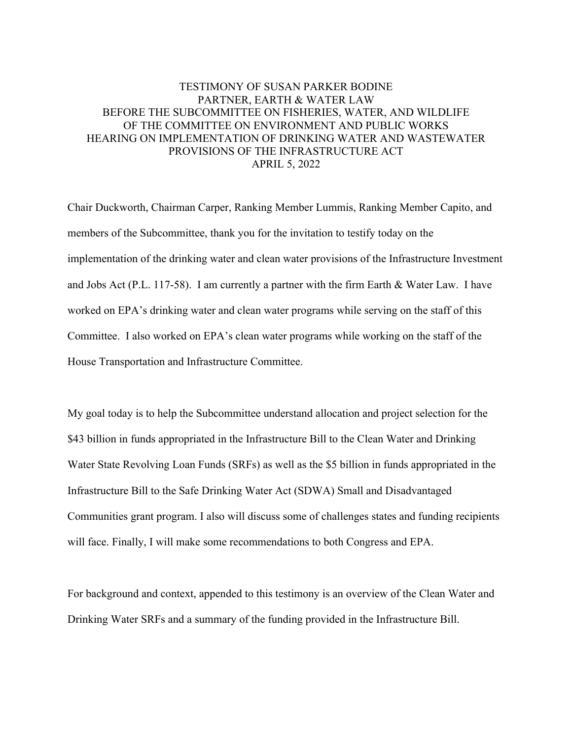# TESTIMONY OF SUSAN PARKER BODINE PARTNER, EARTH & WATER LAW BEFORE THE SUBCOMMITTEE ON FISHERIES, WATER, AND WILDLIFE OF THE COMMITTEE ON ENVIRONMENT AND PUBLIC WORKS HEARING ON IMPLEMENTATION OF DRINKING WATER AND WASTEWATER PROVISIONS OF THE INFRASTRUCTURE ACT APRIL 5, 2022

Chair Duckworth, Chairman Carper, Ranking Member Lummis, Ranking Member Capito, and members of the Subcommittee, thank you for the invitation to testify today on the implementation of the drinking water and clean water provisions of the Infrastructure Investment and Jobs Act (P.L. 117-58). I am currently a partner with the firm Earth & Water Law. I have worked on EPA's drinking water and clean water programs while serving on the staff of this Committee. I also worked on EPA's clean water programs while working on the staff of the House Transportation and Infrastructure Committee.

My goal today is to help the Subcommittee understand allocation and project selection for the \$43 billion in funds appropriated in the Infrastructure Bill to the Clean Water and Drinking Water State Revolving Loan Funds (SRFs) as well as the \$5 billion in funds appropriated in the Infrastructure Bill to the Safe Drinking Water Act (SDWA) Small and Disadvantaged Communities grant program. I also will discuss some of challenges states and funding recipients will face. Finally, I will make some recommendations to both Congress and EPA.

For background and context, appended to this testimony is an overview of the Clean Water and Drinking Water SRFs and a summary of the funding provided in the Infrastructure Bill.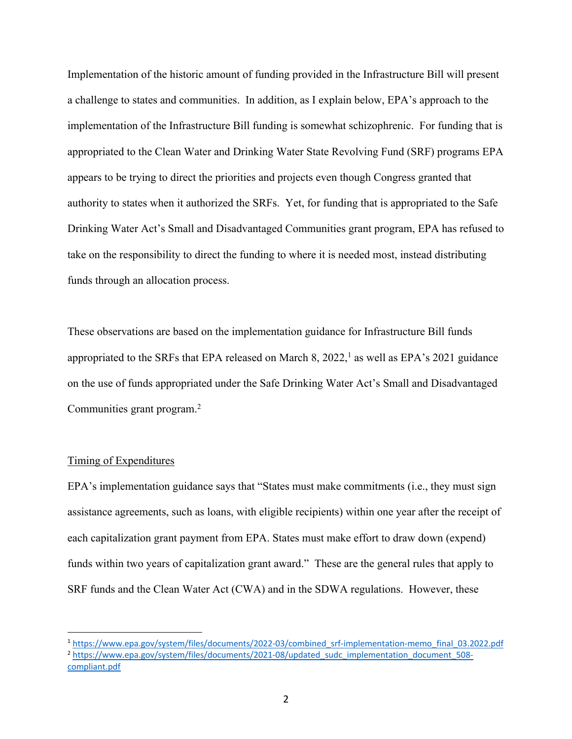Implementation of the historic amount of funding provided in the Infrastructure Bill will present a challenge to states and communities. In addition, as I explain below, EPA's approach to the implementation of the Infrastructure Bill funding is somewhat schizophrenic. For funding that is appropriated to the Clean Water and Drinking Water State Revolving Fund (SRF) programs EPA appears to be trying to direct the priorities and projects even though Congress granted that authority to states when it authorized the SRFs. Yet, for funding that is appropriated to the Safe Drinking Water Act's Small and Disadvantaged Communities grant program, EPA has refused to take on the responsibility to direct the funding to where it is needed most, instead distributing funds through an allocation process.

These observations are based on the implementation guidance for Infrastructure Bill funds appropriated to the SRFs that EPA released on March 8, 2022,<sup>1</sup> as well as EPA's 2021 guidance on the use of funds appropriated under the Safe Drinking Water Act's Small and Disadvantaged Communities grant program.2

# Timing of Expenditures

EPA's implementation guidance says that "States must make commitments (i.e., they must sign assistance agreements, such as loans, with eligible recipients) within one year after the receipt of each capitalization grant payment from EPA. States must make effort to draw down (expend) funds within two years of capitalization grant award." These are the general rules that apply to SRF funds and the Clean Water Act (CWA) and in the SDWA regulations. However, these

<sup>1</sup> https://www.epa.gov/system/files/documents/2022-03/combined\_srf-implementation-memo\_final\_03.2022.pdf

<sup>&</sup>lt;sup>2</sup> https://www.epa.gov/system/files/documents/2021-08/updated\_sudc\_implementation\_document\_508compliant.pdf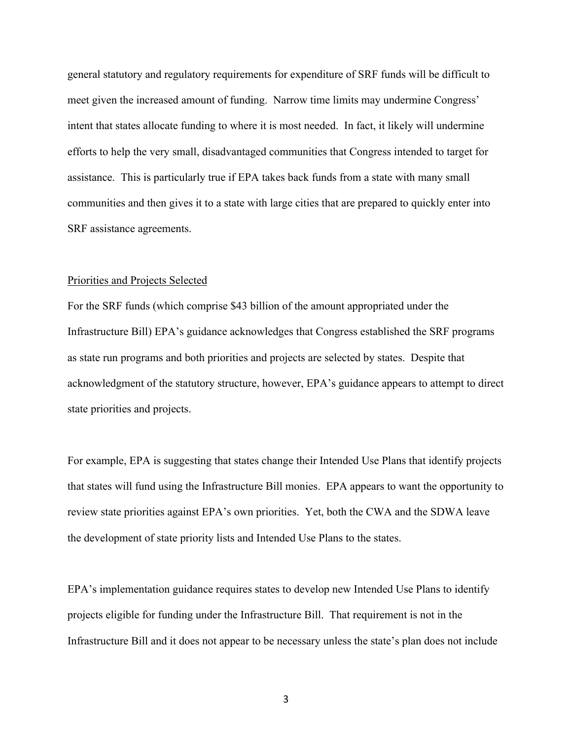general statutory and regulatory requirements for expenditure of SRF funds will be difficult to meet given the increased amount of funding. Narrow time limits may undermine Congress' intent that states allocate funding to where it is most needed. In fact, it likely will undermine efforts to help the very small, disadvantaged communities that Congress intended to target for assistance. This is particularly true if EPA takes back funds from a state with many small communities and then gives it to a state with large cities that are prepared to quickly enter into SRF assistance agreements.

#### Priorities and Projects Selected

For the SRF funds (which comprise \$43 billion of the amount appropriated under the Infrastructure Bill) EPA's guidance acknowledges that Congress established the SRF programs as state run programs and both priorities and projects are selected by states. Despite that acknowledgment of the statutory structure, however, EPA's guidance appears to attempt to direct state priorities and projects.

For example, EPA is suggesting that states change their Intended Use Plans that identify projects that states will fund using the Infrastructure Bill monies. EPA appears to want the opportunity to review state priorities against EPA's own priorities. Yet, both the CWA and the SDWA leave the development of state priority lists and Intended Use Plans to the states.

EPA's implementation guidance requires states to develop new Intended Use Plans to identify projects eligible for funding under the Infrastructure Bill. That requirement is not in the Infrastructure Bill and it does not appear to be necessary unless the state's plan does not include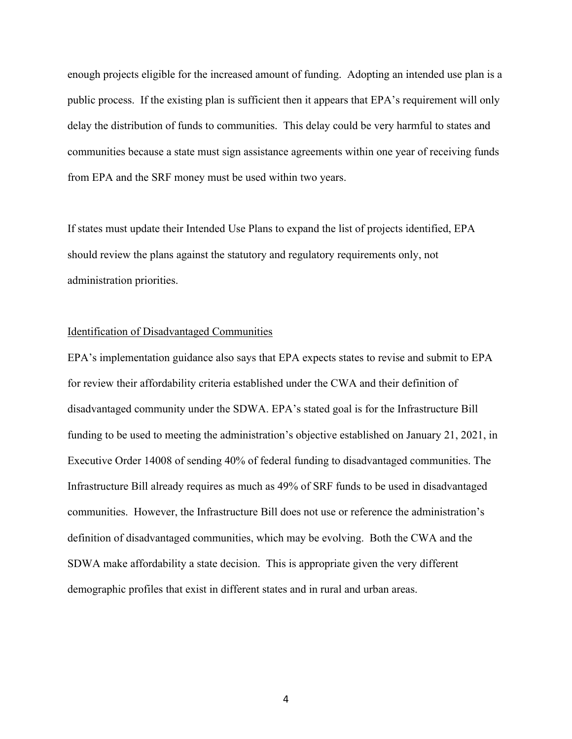enough projects eligible for the increased amount of funding. Adopting an intended use plan is a public process. If the existing plan is sufficient then it appears that EPA's requirement will only delay the distribution of funds to communities. This delay could be very harmful to states and communities because a state must sign assistance agreements within one year of receiving funds from EPA and the SRF money must be used within two years.

If states must update their Intended Use Plans to expand the list of projects identified, EPA should review the plans against the statutory and regulatory requirements only, not administration priorities.

### Identification of Disadvantaged Communities

EPA's implementation guidance also says that EPA expects states to revise and submit to EPA for review their affordability criteria established under the CWA and their definition of disadvantaged community under the SDWA. EPA's stated goal is for the Infrastructure Bill funding to be used to meeting the administration's objective established on January 21, 2021, in Executive Order 14008 of sending 40% of federal funding to disadvantaged communities. The Infrastructure Bill already requires as much as 49% of SRF funds to be used in disadvantaged communities. However, the Infrastructure Bill does not use or reference the administration's definition of disadvantaged communities, which may be evolving. Both the CWA and the SDWA make affordability a state decision. This is appropriate given the very different demographic profiles that exist in different states and in rural and urban areas.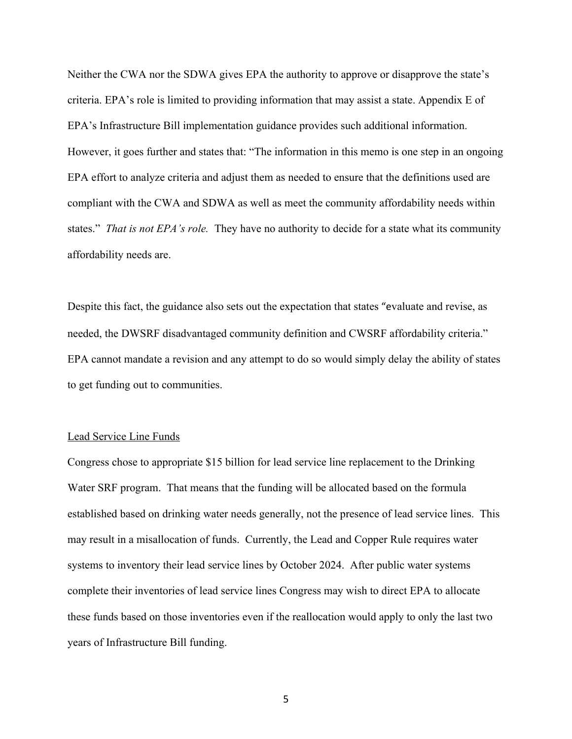Neither the CWA nor the SDWA gives EPA the authority to approve or disapprove the state's criteria. EPA's role is limited to providing information that may assist a state. Appendix E of EPA's Infrastructure Bill implementation guidance provides such additional information. However, it goes further and states that: "The information in this memo is one step in an ongoing EPA effort to analyze criteria and adjust them as needed to ensure that the definitions used are compliant with the CWA and SDWA as well as meet the community affordability needs within states." *That is not EPA's role.* They have no authority to decide for a state what its community affordability needs are.

Despite this fact, the guidance also sets out the expectation that states "evaluate and revise, as needed, the DWSRF disadvantaged community definition and CWSRF affordability criteria." EPA cannot mandate a revision and any attempt to do so would simply delay the ability of states to get funding out to communities.

#### Lead Service Line Funds

Congress chose to appropriate \$15 billion for lead service line replacement to the Drinking Water SRF program. That means that the funding will be allocated based on the formula established based on drinking water needs generally, not the presence of lead service lines. This may result in a misallocation of funds. Currently, the Lead and Copper Rule requires water systems to inventory their lead service lines by October 2024. After public water systems complete their inventories of lead service lines Congress may wish to direct EPA to allocate these funds based on those inventories even if the reallocation would apply to only the last two years of Infrastructure Bill funding.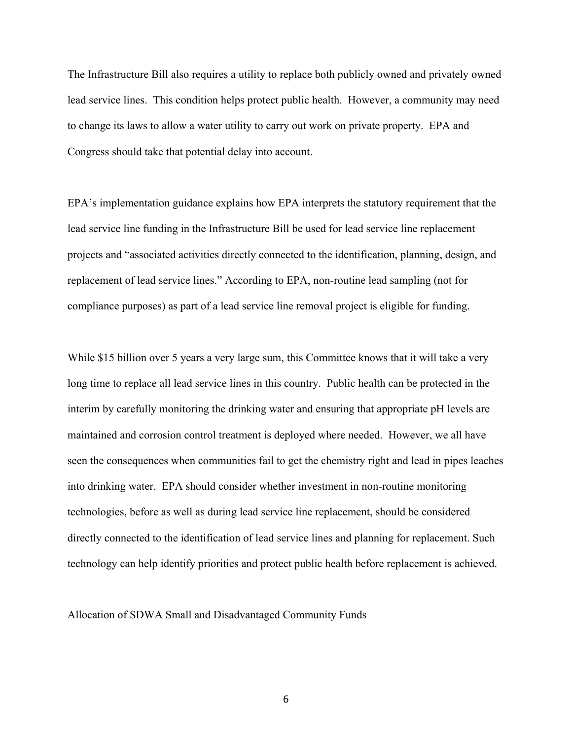The Infrastructure Bill also requires a utility to replace both publicly owned and privately owned lead service lines. This condition helps protect public health. However, a community may need to change its laws to allow a water utility to carry out work on private property. EPA and Congress should take that potential delay into account.

EPA's implementation guidance explains how EPA interprets the statutory requirement that the lead service line funding in the Infrastructure Bill be used for lead service line replacement projects and "associated activities directly connected to the identification, planning, design, and replacement of lead service lines." According to EPA, non-routine lead sampling (not for compliance purposes) as part of a lead service line removal project is eligible for funding.

While \$15 billion over 5 years a very large sum, this Committee knows that it will take a very long time to replace all lead service lines in this country. Public health can be protected in the interim by carefully monitoring the drinking water and ensuring that appropriate pH levels are maintained and corrosion control treatment is deployed where needed. However, we all have seen the consequences when communities fail to get the chemistry right and lead in pipes leaches into drinking water. EPA should consider whether investment in non-routine monitoring technologies, before as well as during lead service line replacement, should be considered directly connected to the identification of lead service lines and planning for replacement. Such technology can help identify priorities and protect public health before replacement is achieved.

#### Allocation of SDWA Small and Disadvantaged Community Funds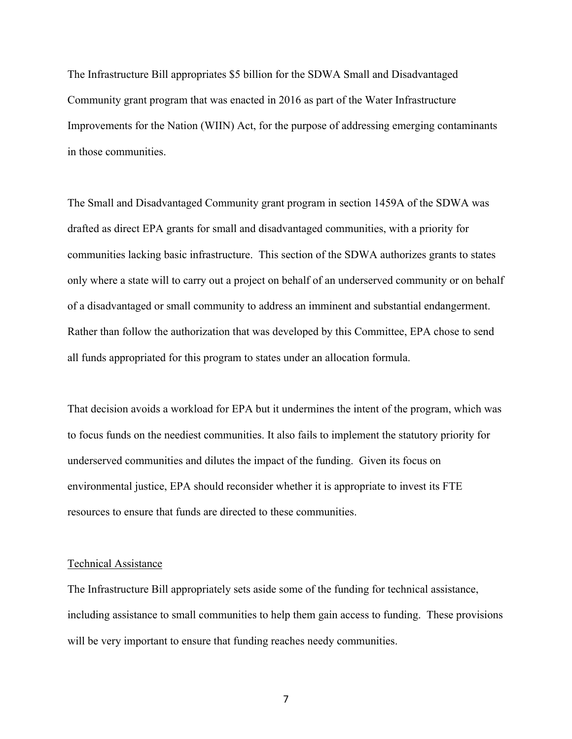The Infrastructure Bill appropriates \$5 billion for the SDWA Small and Disadvantaged Community grant program that was enacted in 2016 as part of the Water Infrastructure Improvements for the Nation (WIIN) Act, for the purpose of addressing emerging contaminants in those communities.

The Small and Disadvantaged Community grant program in section 1459A of the SDWA was drafted as direct EPA grants for small and disadvantaged communities, with a priority for communities lacking basic infrastructure. This section of the SDWA authorizes grants to states only where a state will to carry out a project on behalf of an underserved community or on behalf of a disadvantaged or small community to address an imminent and substantial endangerment. Rather than follow the authorization that was developed by this Committee, EPA chose to send all funds appropriated for this program to states under an allocation formula.

That decision avoids a workload for EPA but it undermines the intent of the program, which was to focus funds on the neediest communities. It also fails to implement the statutory priority for underserved communities and dilutes the impact of the funding. Given its focus on environmental justice, EPA should reconsider whether it is appropriate to invest its FTE resources to ensure that funds are directed to these communities.

### Technical Assistance

The Infrastructure Bill appropriately sets aside some of the funding for technical assistance, including assistance to small communities to help them gain access to funding. These provisions will be very important to ensure that funding reaches needy communities.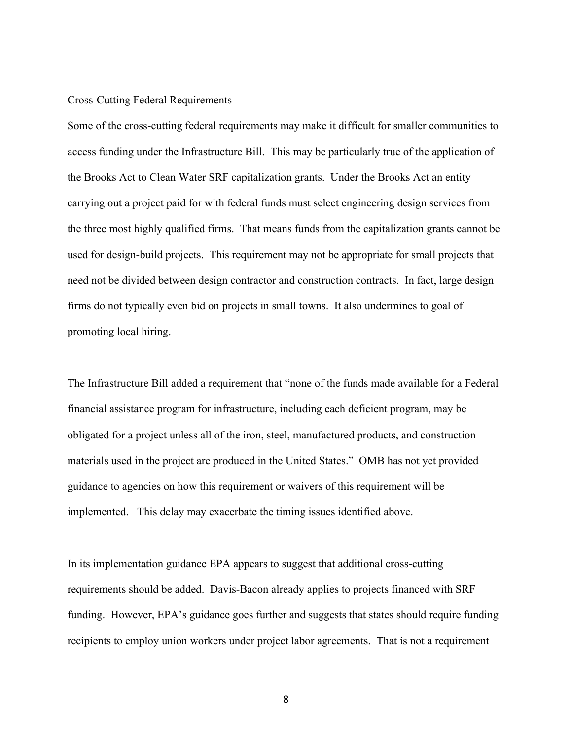### Cross-Cutting Federal Requirements

Some of the cross-cutting federal requirements may make it difficult for smaller communities to access funding under the Infrastructure Bill. This may be particularly true of the application of the Brooks Act to Clean Water SRF capitalization grants. Under the Brooks Act an entity carrying out a project paid for with federal funds must select engineering design services from the three most highly qualified firms. That means funds from the capitalization grants cannot be used for design-build projects. This requirement may not be appropriate for small projects that need not be divided between design contractor and construction contracts. In fact, large design firms do not typically even bid on projects in small towns. It also undermines to goal of promoting local hiring.

The Infrastructure Bill added a requirement that "none of the funds made available for a Federal financial assistance program for infrastructure, including each deficient program, may be obligated for a project unless all of the iron, steel, manufactured products, and construction materials used in the project are produced in the United States." OMB has not yet provided guidance to agencies on how this requirement or waivers of this requirement will be implemented. This delay may exacerbate the timing issues identified above.

In its implementation guidance EPA appears to suggest that additional cross-cutting requirements should be added. Davis-Bacon already applies to projects financed with SRF funding. However, EPA's guidance goes further and suggests that states should require funding recipients to employ union workers under project labor agreements. That is not a requirement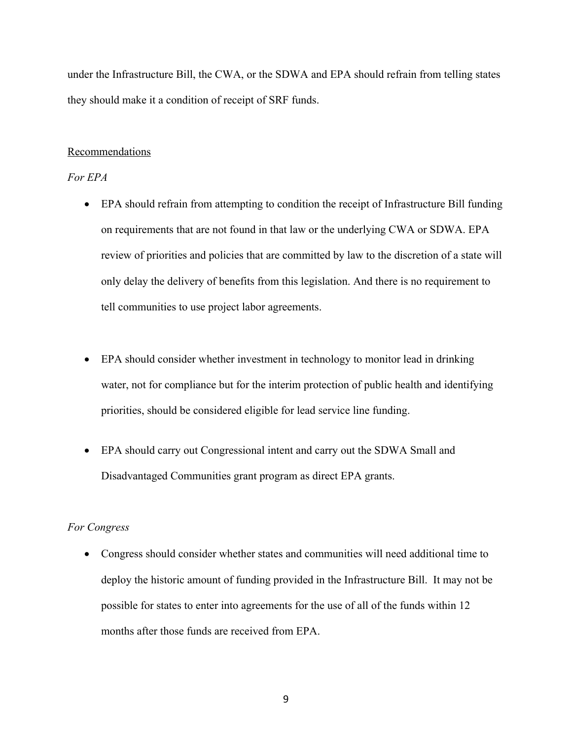under the Infrastructure Bill, the CWA, or the SDWA and EPA should refrain from telling states they should make it a condition of receipt of SRF funds.

### Recommendations

## *For EPA*

- EPA should refrain from attempting to condition the receipt of Infrastructure Bill funding on requirements that are not found in that law or the underlying CWA or SDWA. EPA review of priorities and policies that are committed by law to the discretion of a state will only delay the delivery of benefits from this legislation. And there is no requirement to tell communities to use project labor agreements.
- EPA should consider whether investment in technology to monitor lead in drinking water, not for compliance but for the interim protection of public health and identifying priorities, should be considered eligible for lead service line funding.
- EPA should carry out Congressional intent and carry out the SDWA Small and Disadvantaged Communities grant program as direct EPA grants.

#### *For Congress*

• Congress should consider whether states and communities will need additional time to deploy the historic amount of funding provided in the Infrastructure Bill. It may not be possible for states to enter into agreements for the use of all of the funds within 12 months after those funds are received from EPA.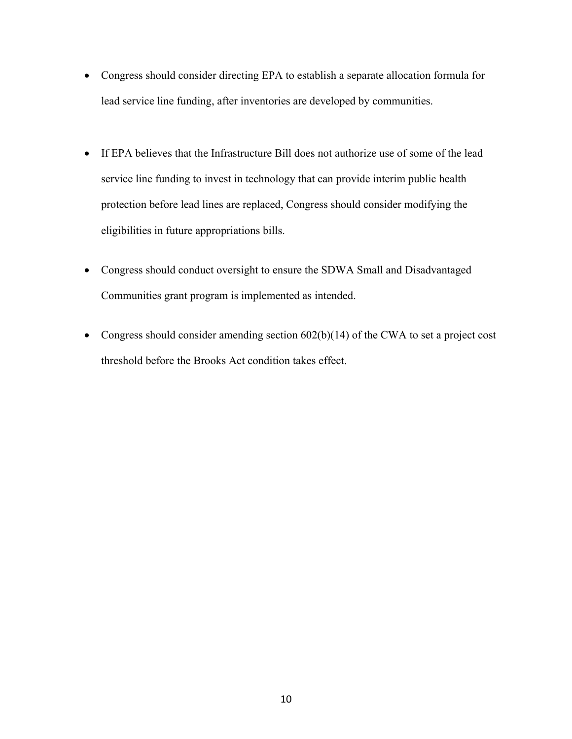- Congress should consider directing EPA to establish a separate allocation formula for lead service line funding, after inventories are developed by communities.
- If EPA believes that the Infrastructure Bill does not authorize use of some of the lead service line funding to invest in technology that can provide interim public health protection before lead lines are replaced, Congress should consider modifying the eligibilities in future appropriations bills.
- Congress should conduct oversight to ensure the SDWA Small and Disadvantaged Communities grant program is implemented as intended.
- Congress should consider amending section 602(b)(14) of the CWA to set a project cost threshold before the Brooks Act condition takes effect.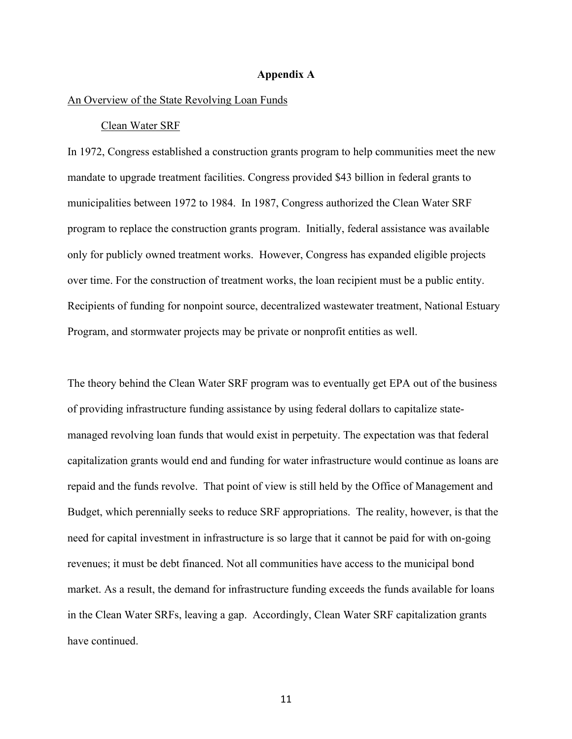#### **Appendix A**

### An Overview of the State Revolving Loan Funds

#### Clean Water SRF

In 1972, Congress established a construction grants program to help communities meet the new mandate to upgrade treatment facilities. Congress provided \$43 billion in federal grants to municipalities between 1972 to 1984. In 1987, Congress authorized the Clean Water SRF program to replace the construction grants program. Initially, federal assistance was available only for publicly owned treatment works. However, Congress has expanded eligible projects over time. For the construction of treatment works, the loan recipient must be a public entity. Recipients of funding for nonpoint source, decentralized wastewater treatment, National Estuary Program, and stormwater projects may be private or nonprofit entities as well.

The theory behind the Clean Water SRF program was to eventually get EPA out of the business of providing infrastructure funding assistance by using federal dollars to capitalize statemanaged revolving loan funds that would exist in perpetuity. The expectation was that federal capitalization grants would end and funding for water infrastructure would continue as loans are repaid and the funds revolve. That point of view is still held by the Office of Management and Budget, which perennially seeks to reduce SRF appropriations. The reality, however, is that the need for capital investment in infrastructure is so large that it cannot be paid for with on-going revenues; it must be debt financed. Not all communities have access to the municipal bond market. As a result, the demand for infrastructure funding exceeds the funds available for loans in the Clean Water SRFs, leaving a gap. Accordingly, Clean Water SRF capitalization grants have continued.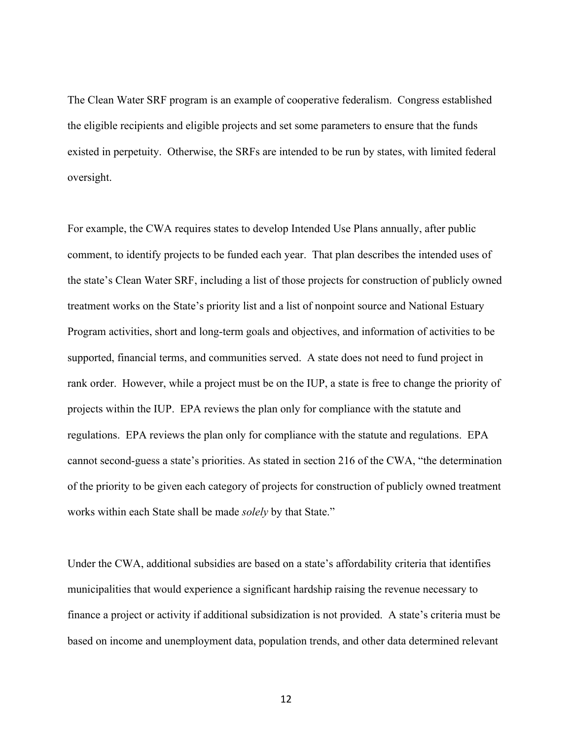The Clean Water SRF program is an example of cooperative federalism. Congress established the eligible recipients and eligible projects and set some parameters to ensure that the funds existed in perpetuity. Otherwise, the SRFs are intended to be run by states, with limited federal oversight.

For example, the CWA requires states to develop Intended Use Plans annually, after public comment, to identify projects to be funded each year. That plan describes the intended uses of the state's Clean Water SRF, including a list of those projects for construction of publicly owned treatment works on the State's priority list and a list of nonpoint source and National Estuary Program activities, short and long-term goals and objectives, and information of activities to be supported, financial terms, and communities served. A state does not need to fund project in rank order. However, while a project must be on the IUP, a state is free to change the priority of projects within the IUP. EPA reviews the plan only for compliance with the statute and regulations. EPA reviews the plan only for compliance with the statute and regulations. EPA cannot second-guess a state's priorities. As stated in section 216 of the CWA, "the determination of the priority to be given each category of projects for construction of publicly owned treatment works within each State shall be made *solely* by that State."

Under the CWA, additional subsidies are based on a state's affordability criteria that identifies municipalities that would experience a significant hardship raising the revenue necessary to finance a project or activity if additional subsidization is not provided. A state's criteria must be based on income and unemployment data, population trends, and other data determined relevant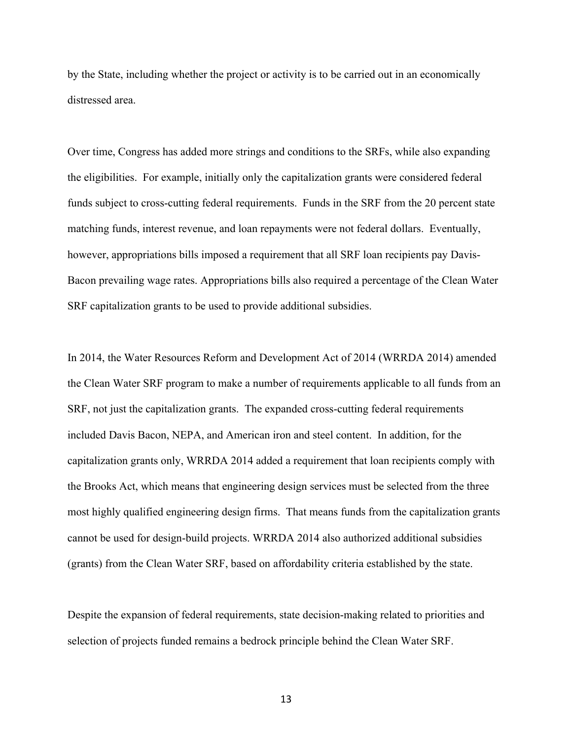by the State, including whether the project or activity is to be carried out in an economically distressed area.

Over time, Congress has added more strings and conditions to the SRFs, while also expanding the eligibilities. For example, initially only the capitalization grants were considered federal funds subject to cross-cutting federal requirements. Funds in the SRF from the 20 percent state matching funds, interest revenue, and loan repayments were not federal dollars. Eventually, however, appropriations bills imposed a requirement that all SRF loan recipients pay Davis-Bacon prevailing wage rates. Appropriations bills also required a percentage of the Clean Water SRF capitalization grants to be used to provide additional subsidies.

In 2014, the Water Resources Reform and Development Act of 2014 (WRRDA 2014) amended the Clean Water SRF program to make a number of requirements applicable to all funds from an SRF, not just the capitalization grants. The expanded cross-cutting federal requirements included Davis Bacon, NEPA, and American iron and steel content. In addition, for the capitalization grants only, WRRDA 2014 added a requirement that loan recipients comply with the Brooks Act, which means that engineering design services must be selected from the three most highly qualified engineering design firms. That means funds from the capitalization grants cannot be used for design-build projects. WRRDA 2014 also authorized additional subsidies (grants) from the Clean Water SRF, based on affordability criteria established by the state.

Despite the expansion of federal requirements, state decision-making related to priorities and selection of projects funded remains a bedrock principle behind the Clean Water SRF.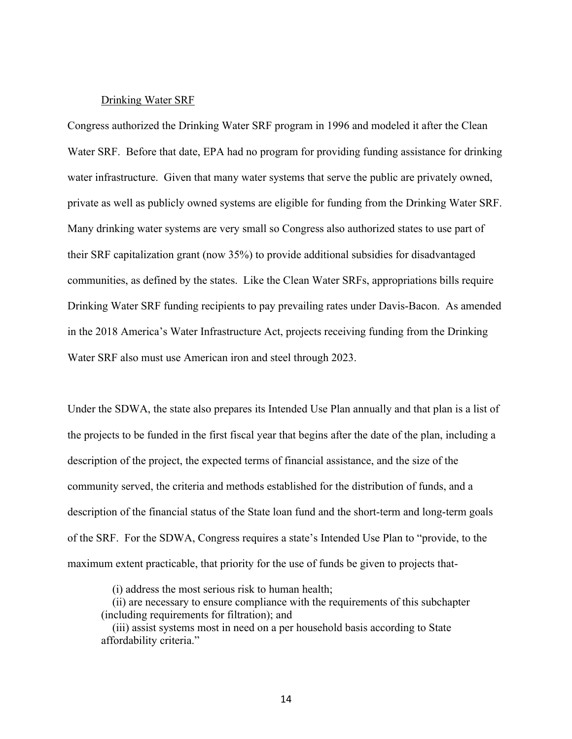#### Drinking Water SRF

Congress authorized the Drinking Water SRF program in 1996 and modeled it after the Clean Water SRF. Before that date, EPA had no program for providing funding assistance for drinking water infrastructure. Given that many water systems that serve the public are privately owned, private as well as publicly owned systems are eligible for funding from the Drinking Water SRF. Many drinking water systems are very small so Congress also authorized states to use part of their SRF capitalization grant (now 35%) to provide additional subsidies for disadvantaged communities, as defined by the states. Like the Clean Water SRFs, appropriations bills require Drinking Water SRF funding recipients to pay prevailing rates under Davis-Bacon. As amended in the 2018 America's Water Infrastructure Act, projects receiving funding from the Drinking Water SRF also must use American iron and steel through 2023.

Under the SDWA, the state also prepares its Intended Use Plan annually and that plan is a list of the projects to be funded in the first fiscal year that begins after the date of the plan, including a description of the project, the expected terms of financial assistance, and the size of the community served, the criteria and methods established for the distribution of funds, and a description of the financial status of the State loan fund and the short-term and long-term goals of the SRF. For the SDWA, Congress requires a state's Intended Use Plan to "provide, to the maximum extent practicable, that priority for the use of funds be given to projects that-

(i) address the most serious risk to human health;

(ii) are necessary to ensure compliance with the requirements of this subchapter (including requirements for filtration); and

(iii) assist systems most in need on a per household basis according to State affordability criteria."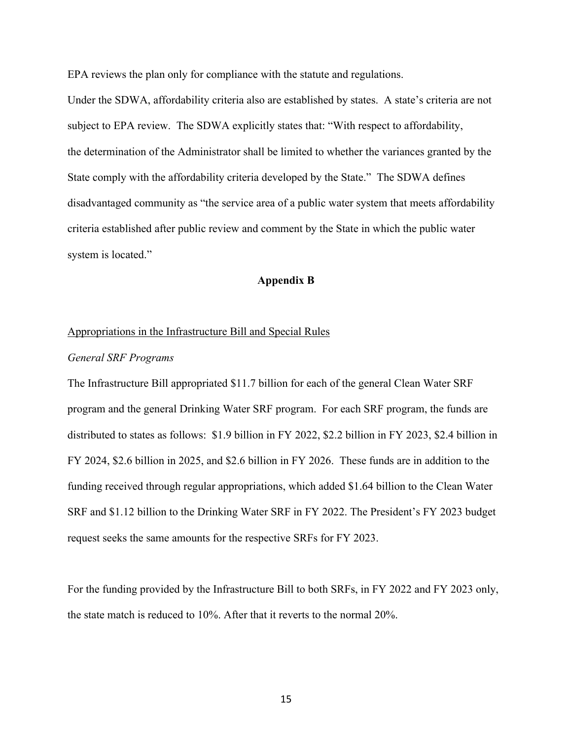EPA reviews the plan only for compliance with the statute and regulations.

Under the SDWA, affordability criteria also are established by states. A state's criteria are not subject to EPA review. The SDWA explicitly states that: "With respect to affordability, the determination of the Administrator shall be limited to whether the variances granted by the State comply with the affordability criteria developed by the State." The SDWA defines disadvantaged community as "the service area of a public water system that meets affordability criteria established after public review and comment by the State in which the public water system is located."

## **Appendix B**

#### Appropriations in the Infrastructure Bill and Special Rules

#### *General SRF Programs*

The Infrastructure Bill appropriated \$11.7 billion for each of the general Clean Water SRF program and the general Drinking Water SRF program. For each SRF program, the funds are distributed to states as follows: \$1.9 billion in FY 2022, \$2.2 billion in FY 2023, \$2.4 billion in FY 2024, \$2.6 billion in 2025, and \$2.6 billion in FY 2026. These funds are in addition to the funding received through regular appropriations, which added \$1.64 billion to the Clean Water SRF and \$1.12 billion to the Drinking Water SRF in FY 2022. The President's FY 2023 budget request seeks the same amounts for the respective SRFs for FY 2023.

For the funding provided by the Infrastructure Bill to both SRFs, in FY 2022 and FY 2023 only, the state match is reduced to 10%. After that it reverts to the normal 20%.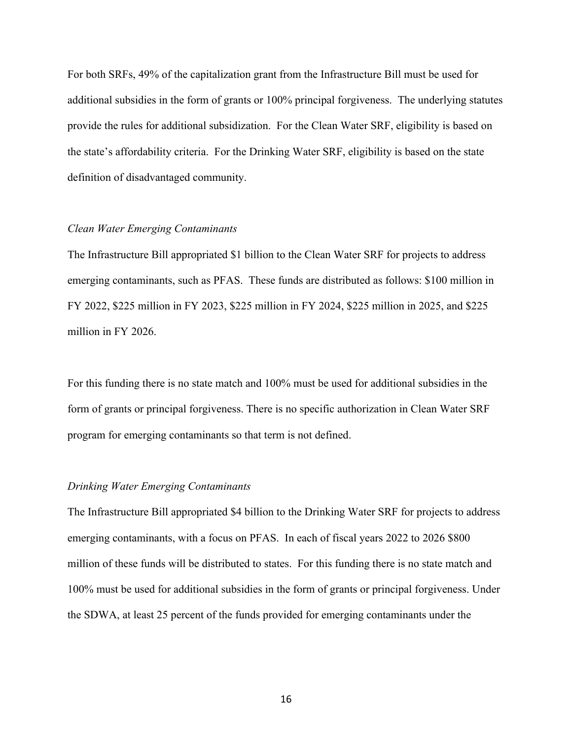For both SRFs, 49% of the capitalization grant from the Infrastructure Bill must be used for additional subsidies in the form of grants or 100% principal forgiveness. The underlying statutes provide the rules for additional subsidization. For the Clean Water SRF, eligibility is based on the state's affordability criteria. For the Drinking Water SRF, eligibility is based on the state definition of disadvantaged community.

#### *Clean Water Emerging Contaminants*

The Infrastructure Bill appropriated \$1 billion to the Clean Water SRF for projects to address emerging contaminants, such as PFAS. These funds are distributed as follows: \$100 million in FY 2022, \$225 million in FY 2023, \$225 million in FY 2024, \$225 million in 2025, and \$225 million in FY 2026.

For this funding there is no state match and 100% must be used for additional subsidies in the form of grants or principal forgiveness. There is no specific authorization in Clean Water SRF program for emerging contaminants so that term is not defined.

#### *Drinking Water Emerging Contaminants*

The Infrastructure Bill appropriated \$4 billion to the Drinking Water SRF for projects to address emerging contaminants, with a focus on PFAS. In each of fiscal years 2022 to 2026 \$800 million of these funds will be distributed to states. For this funding there is no state match and 100% must be used for additional subsidies in the form of grants or principal forgiveness. Under the SDWA, at least 25 percent of the funds provided for emerging contaminants under the